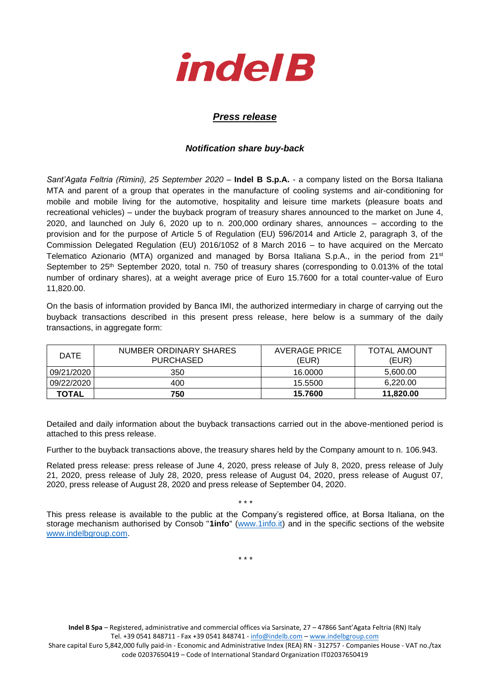

## *Press release*

## *Notification share buy-back*

*Sant'Agata Feltria (Rimini), 25 September 2020* – **Indel B S.p.A.** - a company listed on the Borsa Italiana MTA and parent of a group that operates in the manufacture of cooling systems and air-conditioning for mobile and mobile living for the automotive, hospitality and leisure time markets (pleasure boats and recreational vehicles) – under the buyback program of treasury shares announced to the market on June 4, 2020, and launched on July 6, 2020 up to n. 200,000 ordinary shares, announces – according to the provision and for the purpose of Article 5 of Regulation (EU) 596/2014 and Article 2, paragraph 3, of the Commission Delegated Regulation (EU) 2016/1052 of 8 March 2016 – to have acquired on the Mercato Telematico Azionario (MTA) organized and managed by Borsa Italiana S.p.A., in the period from 21st September to 25<sup>th</sup> September 2020, total n. 750 of treasury shares (corresponding to 0.013% of the total number of ordinary shares), at a weight average price of Euro 15.7600 for a total counter-value of Euro 11,820.00.

On the basis of information provided by Banca IMI, the authorized intermediary in charge of carrying out the buyback transactions described in this present press release, here below is a summary of the daily transactions, in aggregate form:

| DATE         | NUMBER ORDINARY SHARES<br><b>PURCHASED</b> | AVERAGE PRICE<br>(EUR) | <b>TOTAL AMOUNT</b><br>(EUR) |
|--------------|--------------------------------------------|------------------------|------------------------------|
| 09/21/2020   | 350                                        | 16.0000                | 5,600.00                     |
| 09/22/2020   | 400                                        | 15.5500                | 6,220.00                     |
| <b>TOTAL</b> | 750                                        | 15.7600                | 11.820.00                    |

Detailed and daily information about the buyback transactions carried out in the above-mentioned period is attached to this press release.

Further to the buyback transactions above, the treasury shares held by the Company amount to n. 106.943.

Related press release: press release of June 4, 2020, press release of July 8, 2020, press release of July 21, 2020, press release of July 28, 2020, press release of August 04, 2020, press release of August 07, 2020, press release of August 28, 2020 and press release of September 04, 2020.

\* \* \*

This press release is available to the public at the Company's registered office, at Borsa Italiana, on the storage mechanism authorised by Consob "**1info**" [\(www.1info.it\)](file:///C:/Users/ddelietovollaro/AppData/Local/Microsoft/Windows/INetCache/Content.Outlook/T87B94UR/www.1info.it) and in the specific sections of the website [www.indelbgroup.com.](http://www.indelbgroup.com/)

\* \* \*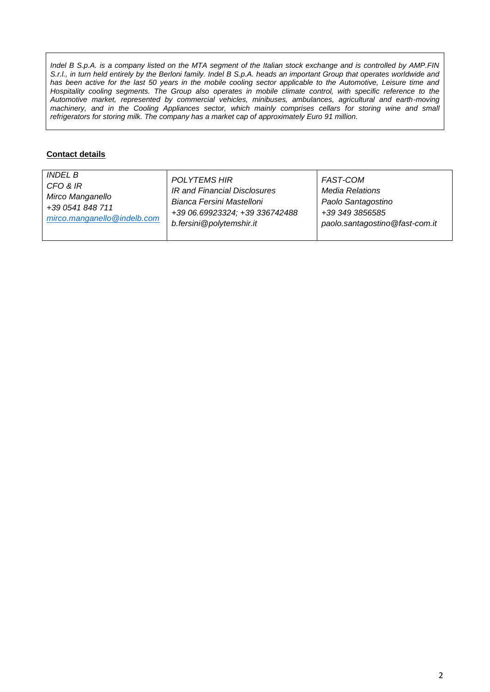*Indel B S.p.A. is a company listed on the MTA segment of the Italian stock exchange and is controlled by AMP.FIN S.r.l., in turn held entirely by the Berloni family. Indel B S.p.A. heads an important Group that operates worldwide and*  has been active for the last 50 years in the mobile cooling sector applicable to the Automotive, Leisure time and Hospitality cooling segments. The Group also operates in mobile climate control, with specific reference to the *Automotive market, represented by commercial vehicles, minibuses, ambulances, agricultural and earth-moving machinery, and in the Cooling Appliances sector, which mainly comprises cellars for storing wine and small refrigerators for storing milk. The company has a market cap of approximately Euro 91 million.*

## **Contact details**

| <i>INDEL B</i>              | POLYTEMS HIR                   | FAST-COM                       |
|-----------------------------|--------------------------------|--------------------------------|
| CFO & IR                    | IR and Financial Disclosures   | Media Relations                |
| Mirco Manganello            | Bianca Fersini Mastelloni      | Paolo Santagostino             |
| +39 0541 848 711            | +39 06.69923324; +39 336742488 | +39 349 3856585                |
| mirco.manganello@indelb.com | b.fersini@polytemshir.it       | paolo.santagostino@fast-com.it |